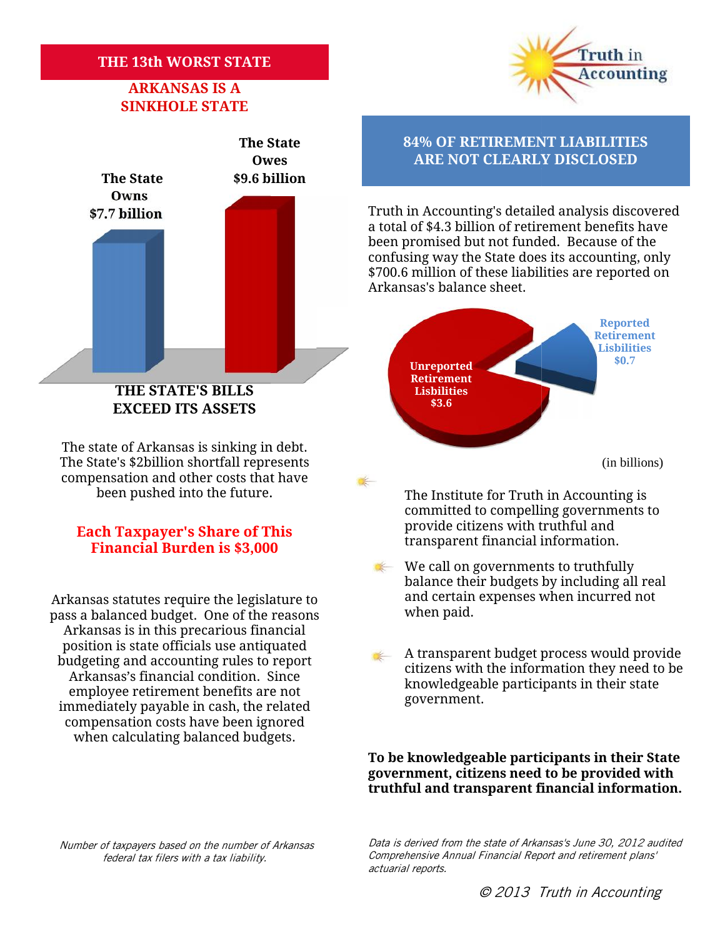# **THE 13th WORST STATE<br>ARKANSAS IS A**

## **ARKANSAS IS A ARKANSAS SINKHOLE STATE**



# **Financial Burden is \$3,000**

when paid. Arkansas statutes require the legislature to pass a balanced budget. One of the reasons Arkansas is in this precarious financial position is state officials use antiquated budgeting and accounting rules to report Arkansas's financial condition. Since employee retirement benefits are not immediately payable in cash, the related compensation costs have been ignored when calculating balanced budgets. solution is state officials use antiquated<br>
position is state officials use antiquated<br>
udgeting and accounting rules to report<br>
A transparent budget process would provide<br>
dizens with the information they need to be<br>
empl

Truth in **Accounting** 

## **The State 84% OF RETIREMENT LIABILITIES Owes ARE NOT CLEARLY DISCLOSED**

**\$7.7 billion Truth in Accounting's detailed analysis discovered** a total of \$4.3 billion of retirement benefits have been promised but not funded. Because of the confusing way the State does its accounting, only \$700.6 million of these liabilities are reported on Arkansas's balance sheet. Truth in Accounting's detailed analysis discove<br>a total of \$4.3 billion of retirement benefits hav<br>been promised but not funded. Because of the<br>confusing way the State does its accounting, or<br>\$700.6 million of these liabil



The Institute for Truth in Accounting is committed to compelling governments to provide citizens with truthful and **Each Taxpayer's Share of This**<br>**Einancial Burdon is \$2,000 Example 1** transparent financial information.

A transparent budget process would provide citizens with the information they need to be knowledgeable participants in their state government.

**To be knowledgeable participants in their State** To be knowledgeable participants in their State<br>government, citizens need to be provided with **truthful and transparent financial information.**

*Number of taxpayers based on the number of Arkansas is Annual of taxpayers tax federal tax filers with a tax liability.*

*Data is derived from the state of Arkansas's June 30, 2012 audited Comprehensive Annual Financial Report and retirement plans' actuarial reports.*

We call on governments to truthfully  $\frac{1}{2}$ balance their budgets by including all real and certain expenses when incurred not